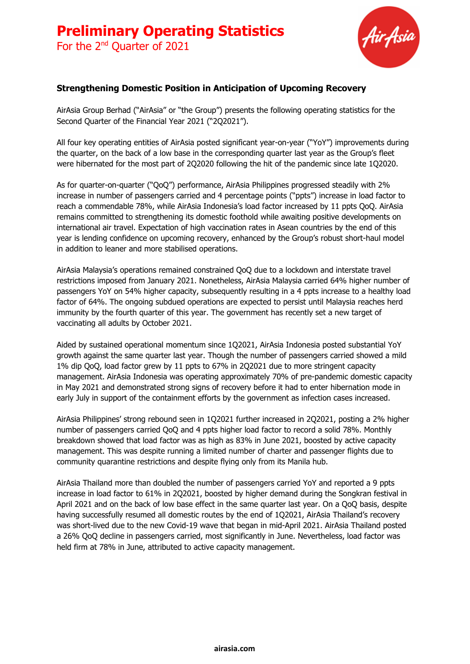

### **Strengthening Domestic Position in Anticipation of Upcoming Recovery**

AirAsia Group Berhad ("AirAsia" or "the Group") presents the following operating statistics for the Second Quarter of the Financial Year 2021 ("2Q2021").

All four key operating entities of AirAsia posted significant year-on-year ("YoY") improvements during the quarter, on the back of a low base in the corresponding quarter last year as the Group's fleet were hibernated for the most part of 2Q2020 following the hit of the pandemic since late 1Q2020.

As for quarter-on-quarter ("QoQ") performance, AirAsia Philippines progressed steadily with 2% increase in number of passengers carried and 4 percentage points ("ppts") increase in load factor to reach a commendable 78%, while AirAsia Indonesia's load factor increased by 11 ppts QoQ. AirAsia remains committed to strengthening its domestic foothold while awaiting positive developments on international air travel. Expectation of high vaccination rates in Asean countries by the end of this year is lending confidence on upcoming recovery, enhanced by the Group's robust short-haul model in addition to leaner and more stabilised operations.

AirAsia Malaysia's operations remained constrained QoQ due to a lockdown and interstate travel restrictions imposed from January 2021. Nonetheless, AirAsia Malaysia carried 64% higher number of passengers YoY on 54% higher capacity, subsequently resulting in a 4 ppts increase to a healthy load factor of 64%. The ongoing subdued operations are expected to persist until Malaysia reaches herd immunity by the fourth quarter of this year. The government has recently set a new target of vaccinating all adults by October 2021.

Aided by sustained operational momentum since 1Q2021, AirAsia Indonesia posted substantial YoY growth against the same quarter last year. Though the number of passengers carried showed a mild 1% dip QoQ, load factor grew by 11 ppts to 67% in 2Q2021 due to more stringent capacity management. AirAsia Indonesia was operating approximately 70% of pre-pandemic domestic capacity in May 2021 and demonstrated strong signs of recovery before it had to enter hibernation mode in early July in support of the containment efforts by the government as infection cases increased.

AirAsia Philippines' strong rebound seen in 1Q2021 further increased in 2Q2021, posting a 2% higher number of passengers carried QoQ and 4 ppts higher load factor to record a solid 78%. Monthly breakdown showed that load factor was as high as 83% in June 2021, boosted by active capacity management. This was despite running a limited number of charter and passenger flights due to community quarantine restrictions and despite flying only from its Manila hub.

AirAsia Thailand more than doubled the number of passengers carried YoY and reported a 9 ppts increase in load factor to 61% in 2Q2021, boosted by higher demand during the Songkran festival in April 2021 and on the back of low base effect in the same quarter last year. On a QoQ basis, despite having successfully resumed all domestic routes by the end of 1Q2021, AirAsia Thailand's recovery was short-lived due to the new Covid-19 wave that began in mid-April 2021. AirAsia Thailand posted a 26% QoQ decline in passengers carried, most significantly in June. Nevertheless, load factor was held firm at 78% in June, attributed to active capacity management.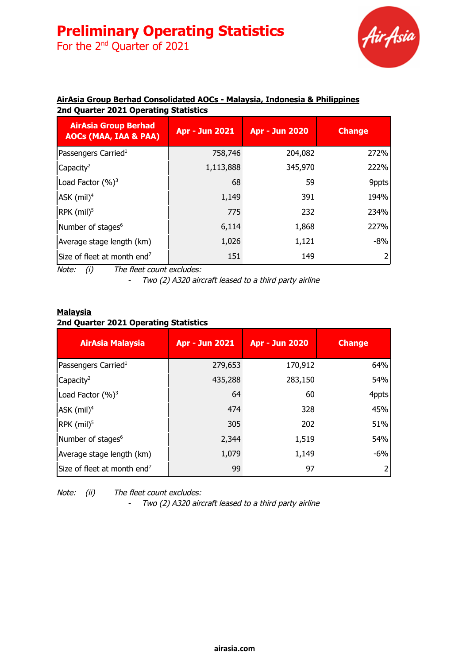# **Preliminary Operating Statistics**

For the 2<sup>nd</sup> Quarter of 2021



## **AirAsia Group Berhad Consolidated AOCs - Malaysia, Indonesia & Philippines 2nd Quarter 2021 Operating Statistics**

| <b>AirAsia Group Berhad</b><br><b>AOCs (MAA, IAA &amp; PAA)</b> | <b>Apr - Jun 2021</b> | <b>Apr - Jun 2020</b> | <b>Change</b> |
|-----------------------------------------------------------------|-----------------------|-----------------------|---------------|
| Passengers Carried <sup>1</sup>                                 | 758,746               | 204,082               | 272%          |
| Capacity <sup>2</sup>                                           | 1,113,888             | 345,970               | 222%          |
| Load Factor (%) <sup>3</sup>                                    | 68                    | 59                    | 9ppts         |
| $ASK$ (mil) <sup>4</sup>                                        | 1,149                 | 391                   | 194%          |
| RPK (mil) <sup>5</sup>                                          | 775                   | 232                   | 234%          |
| Number of stages <sup>6</sup>                                   | 6,114                 | 1,868                 | 227%          |
| Average stage length (km)                                       | 1,026                 | 1,121                 | $-8%$         |
| Size of fleet at month end <sup>7</sup>                         | 151                   | 149                   |               |

Note: (i) The fleet count excludes:

- Two (2) A320 aircraft leased to <sup>a</sup> third party airline

## **Malaysia 2nd Quarter 2021 Operating Statistics**

| <b>AirAsia Malaysia</b>                 | <b>Apr - Jun 2021</b> | <b>Apr - Jun 2020</b> | <b>Change</b> |
|-----------------------------------------|-----------------------|-----------------------|---------------|
| Passengers Carried <sup>1</sup>         | 279,653               | 170,912               | 64%           |
| Capacity <sup>2</sup>                   | 435,288               | 283,150               | 54%           |
| Load Factor $(%)^3$                     | 64                    | 60                    | 4ppts         |
| $AK$ (mil) <sup>4</sup>                 | 474                   | 328                   | 45%           |
| $\text{RPK (mil)}^5$                    | 305                   | 202                   | 51%           |
| Number of stages <sup>6</sup>           | 2,344                 | 1,519                 | 54%           |
| Average stage length (km)               | 1,079                 | 1,149                 | $-6%$         |
| Size of fleet at month end <sup>7</sup> | 99                    | 97                    | 2             |

Note: (ii) The fleet count excludes:

- Two (2) A320 aircraft leased to <sup>a</sup> third party airline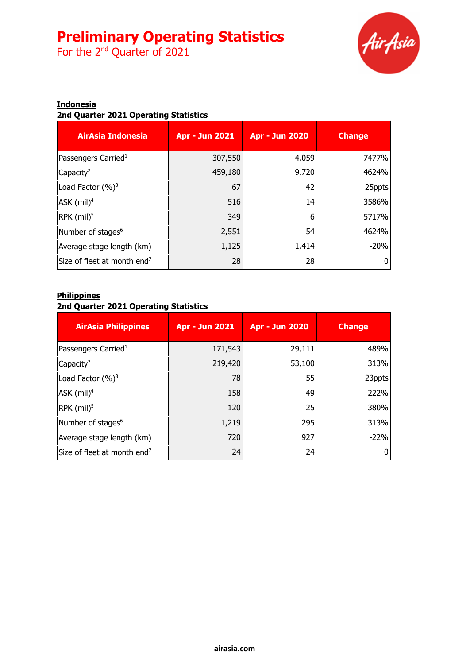# **Preliminary Operating Statistics**

For the 2<sup>nd</sup> Quarter of 2021



#### **Indonesia**

## **2nd Quarter 2021 Operating Statistics**

| <b>AirAsia Indonesia</b>                | <b>Apr - Jun 2021</b> | <b>Apr - Jun 2020</b> | <b>Change</b> |
|-----------------------------------------|-----------------------|-----------------------|---------------|
| Passengers Carried <sup>1</sup>         | 307,550               | 4,059                 | 7477%         |
| $\sqrt{2}$ Capacity <sup>2</sup>        | 459,180               | 9,720                 | 4624%         |
| Load Factor $(\%)^3$                    | 67                    | 42                    | 25ppts        |
| $AK$ (mil) <sup>4</sup>                 | 516                   | 14                    | 3586%         |
| $\textsf{RPK}$ (mil) <sup>5</sup>       | 349                   | 6                     | 5717%         |
| Number of stages <sup>6</sup>           | 2,551                 | 54                    | 4624%         |
| Average stage length (km)               | 1,125                 | 1,414                 | $-20%$        |
| Size of fleet at month end <sup>7</sup> | 28                    | 28                    |               |

#### **Philippines**

#### **2nd Quarter 2021 Operating Statistics**

| <b>AirAsia Philippines</b>              | <b>Apr - Jun 2021</b> | <b>Apr - Jun 2020</b> | <b>Change</b> |
|-----------------------------------------|-----------------------|-----------------------|---------------|
| Passengers Carried <sup>1</sup>         | 171,543               | 29,111                | 489%          |
| Capacity <sup>2</sup>                   | 219,420               | 53,100                | 313%          |
| Load Factor $(\%)^3$                    | 78                    | 55                    | 23ppts        |
| $ASK$ (mil) <sup>4</sup>                | 158                   | 49                    | 222%          |
| $RPK$ (mil) <sup>5</sup>                | 120                   | 25                    | 380%          |
| Number of stages <sup>6</sup>           | 1,219                 | 295                   | 313%          |
| Average stage length (km)               | 720                   | 927                   | $-22%$        |
| Size of fleet at month end <sup>7</sup> | 24                    | 24                    |               |